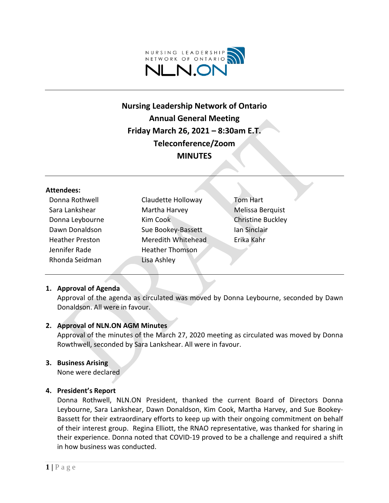

# **Nursing Leadership Network of Ontario Annual General Meeting Friday March 26, 2021 – 8:30am E.T. Teleconference/Zoom MINUTES**

#### **Attendees:**

| Donna Rothwell         | Claudette Holloway     | <b>Tom Hart</b>          |
|------------------------|------------------------|--------------------------|
| Sara Lankshear         | Martha Harvey          | Melissa Berquist         |
| Donna Leybourne        | Kim Cook               | <b>Christine Buckley</b> |
| Dawn Donaldson         | Sue Bookey-Bassett     | Ian Sinclair             |
| <b>Heather Preston</b> | Meredith Whitehead     | Erika Kahr               |
| Jennifer Rade          | <b>Heather Thomson</b> |                          |
| Rhonda Seidman         | Lisa Ashley            |                          |

## **1. Approval of Agenda**

Approval of the agenda as circulated was moved by Donna Leybourne, seconded by Dawn Donaldson. All were in favour.

## **2. Approval of NLN.ON AGM Minutes**

Approval of the minutes of the March 27, 2020 meeting as circulated was moved by Donna Rowthwell, seconded by Sara Lankshear. All were in favour.

#### **3. Business Arising**

None were declared

## **4. President's Report**

Donna Rothwell, NLN.ON President, thanked the current Board of Directors Donna Leybourne, Sara Lankshear, Dawn Donaldson, Kim Cook, Martha Harvey, and Sue Bookey-Bassett for their extraordinary efforts to keep up with their ongoing commitment on behalf of their interest group. Regina Elliott, the RNAO representative, was thanked for sharing in their experience. Donna noted that COVID-19 proved to be a challenge and required a shift in how business was conducted.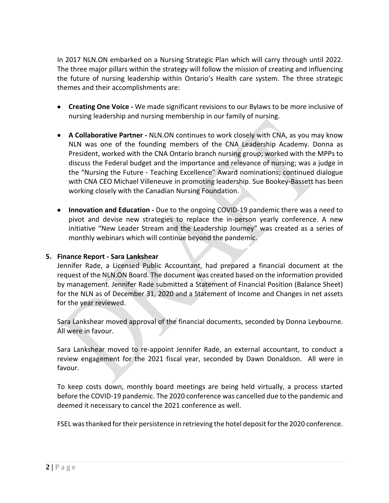In 2017 NLN.ON embarked on a Nursing Strategic Plan which will carry through until 2022. The three major pillars within the strategy will follow the mission of creating and influencing the future of nursing leadership within Ontario's Health care system. The three strategic themes and their accomplishments are:

- **Creating One Voice -** We made significant revisions to our Bylaws to be more inclusive of nursing leadership and nursing membership in our family of nursing.
- **A Collaborative Partner -** NLN.ON continues to work closely with CNA, as you may know NLN was one of the founding members of the CNA Leadership Academy. Donna as President, worked with the CNA Ontario branch nursing group; worked with the MPPs to discuss the Federal budget and the importance and relevance of nursing; was a judge in the "Nursing the Future - Teaching Excellence" Award nominations; continued dialogue with CNA CEO Michael Villeneuve in promoting leadership. Sue Bookey-Bassett has been working closely with the Canadian Nursing Foundation.
- **Innovation and Education -** Due to the ongoing COVID-19 pandemic there was a need to pivot and devise new strategies to replace the in-person yearly conference. A new initiative "New Leader Stream and the Leadership Journey" was created as a series of monthly webinars which will continue beyond the pandemic.

# **5. Finance Report - Sara Lankshear**

Jennifer Rade, a Licensed Public Accountant, had prepared a financial document at the request of the NLN.ON Board. The document was created based on the information provided by management. Jennifer Rade submitted a Statement of Financial Position (Balance Sheet) for the NLN as of December 31, 2020 and a Statement of Income and Changes in net assets for the year reviewed.

Sara Lankshear moved approval of the financial documents, seconded by Donna Leybourne. All were in favour.

Sara Lankshear moved to re-appoint Jennifer Rade, an external accountant, to conduct a review engagement for the 2021 fiscal year, seconded by Dawn Donaldson. All were in favour.

To keep costs down, monthly board meetings are being held virtually, a process started before the COVID-19 pandemic. The 2020 conference was cancelled due to the pandemic and deemed it necessary to cancel the 2021 conference as well.

FSEL was thanked for their persistence in retrieving the hotel deposit for the 2020 conference.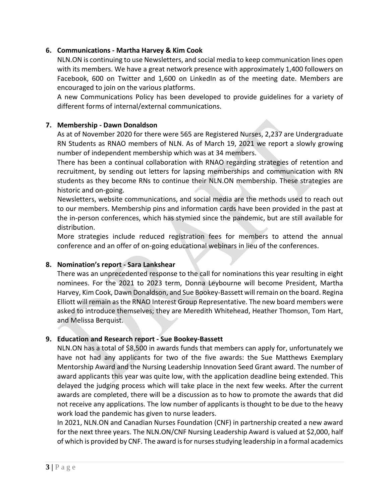# **6. Communications - Martha Harvey & Kim Cook**

NLN.ON is continuing to use Newsletters, and social media to keep communication lines open with its members. We have a great network presence with approximately 1,400 followers on Facebook, 600 on Twitter and 1,600 on LinkedIn as of the meeting date. Members are encouraged to join on the various platforms.

A new Communications Policy has been developed to provide guidelines for a variety of different forms of internal/external communications.

# **7. Membership - Dawn Donaldson**

As at of November 2020 for there were 565 are Registered Nurses, 2,237 are Undergraduate RN Students as RNAO members of NLN. As of March 19, 2021 we report a slowly growing number of independent membership which was at 34 members.

There has been a continual collaboration with RNAO regarding strategies of retention and recruitment, by sending out letters for lapsing memberships and communication with RN students as they become RNs to continue their NLN.ON membership. These strategies are historic and on-going.

Newsletters, website communications, and social media are the methods used to reach out to our members. Membership pins and information cards have been provided in the past at the in-person conferences, which has stymied since the pandemic, but are still available for distribution.

More strategies include reduced registration fees for members to attend the annual conference and an offer of on-going educational webinars in lieu of the conferences.

## **8. Nomination's report - Sara Lankshear**

There was an unprecedented response to the call for nominations this year resulting in eight nominees. For the 2021 to 2023 term, Donna Leybourne will become President, Martha Harvey, Kim Cook, Dawn Donaldson, and Sue Bookey-Bassett will remain on the board. Regina Elliott will remain as the RNAO Interest Group Representative. The new board members were asked to introduce themselves; they are Meredith Whitehead, Heather Thomson, Tom Hart, and Melissa Berquist.

# **9. Education and Research report - Sue Bookey-Bassett**

NLN.ON has a total of \$8,500 in awards funds that members can apply for, unfortunately we have not had any applicants for two of the five awards: the Sue Matthews Exemplary Mentorship Award and the Nursing Leadership Innovation Seed Grant award. The number of award applicants this year was quite low, with the application deadline being extended. This delayed the judging process which will take place in the next few weeks. After the current awards are completed, there will be a discussion as to how to promote the awards that did not receive any applications. The low number of applicants is thought to be due to the heavy work load the pandemic has given to nurse leaders.

In 2021, NLN.ON and Canadian Nurses Foundation (CNF) in partnership created a new award for the next three years. The NLN.ON/CNF Nursing Leadership Award is valued at \$2,000, half of which is provided by CNF. The award is for nurses studying leadership in a formal academics